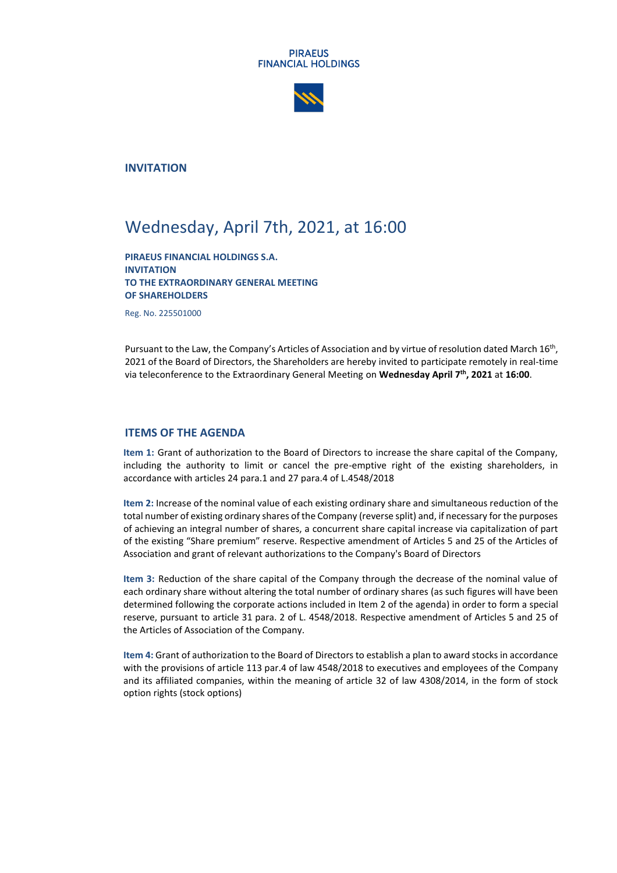#### **PIRAEUS FINANCIAL HOLDINGS**



**INVITATION**

# Wednesday, April 7th, 2021, at 16:00

**PIRAEUS FINANCIAL HOLDINGS S.A. INVITATION TO THE EXTRAORDINARY GENERAL MEETING OF SHAREHOLDERS**

Reg. No. 225501000

Pursuant to the Law, the Company's Articles of Association and by virtue of resolution dated March 16<sup>th</sup>, 2021 of the Board of Directors, the Shareholders are hereby invited to participate remotely in real-time via teleconference to the Extraordinary General Meeting on **Wednesday April 7 th, 2021** at **16:00**.

### **ITEMS OF THE AGENDA**

**Item 1:** Grant of authorization to the Board of Directors to increase the share capital of the Company, including the authority to limit or cancel the pre-emptive right of the existing shareholders, in accordance with articles 24 para.1 and 27 para.4 of L.4548/2018

**Item 2:** Increase of the nominal value of each existing ordinary share and simultaneous reduction of the total number of existing ordinary shares of the Company (reverse split) and, if necessary for the purposes of achieving an integral number of shares, a concurrent share capital increase via capitalization of part of the existing "Share premium" reserve. Respective amendment of Articles 5 and 25 of the Articles of Association and grant of relevant authorizations to the Company's Board of Directors

**Item 3:** Reduction of the share capital of the Company through the decrease of the nominal value of each ordinary share without altering the total number of ordinary shares (as such figures will have been determined following the corporate actions included in Item 2 of the agenda) in order to form a special reserve, pursuant to article 31 para. 2 of L. 4548/2018. Respective amendment of Articles 5 and 25 of the Articles of Association of the Company.

**Item 4:** Grant of authorization to the Board of Directors to establish a plan to award stocks in accordance with the provisions of article 113 par.4 of law 4548/2018 to executives and employees of the Company and its affiliated companies, within the meaning of article 32 of law 4308/2014, in the form of stock option rights (stock options)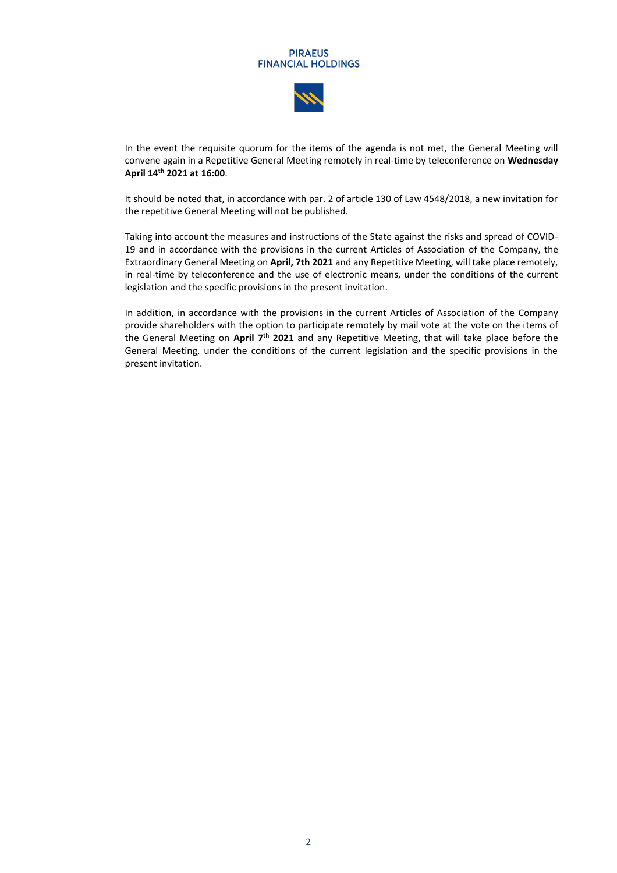#### **PIRAEUS FINANCIAL HOLDINGS**



In the event the requisite quorum for the items of the agenda is not met, the General Meeting will convene again in a Repetitive General Meeting remotely in real-time by teleconference on **Wednesday April 14th 2021 at 16:00**.

It should be noted that, in accordance with par. 2 of article 130 of Law 4548/2018, a new invitation for the repetitive General Meeting will not be published.

Taking into account the measures and instructions of the State against the risks and spread of COVID-19 and in accordance with the provisions in the current Articles of Association of the Company, the Extraordinary General Meeting on **April, 7th 2021** and any Repetitive Meeting, will take place remotely, in real-time by teleconference and the use of electronic means, under the conditions of the current legislation and the specific provisions in the present invitation.

In addition, in accordance with the provisions in the current Articles of Association of the Company provide shareholders with the option to participate remotely by mail vote at the vote on the items of the General Meeting on **April 7 th 2021** and any Repetitive Meeting, that will take place before the General Meeting, under the conditions of the current legislation and the specific provisions in the present invitation.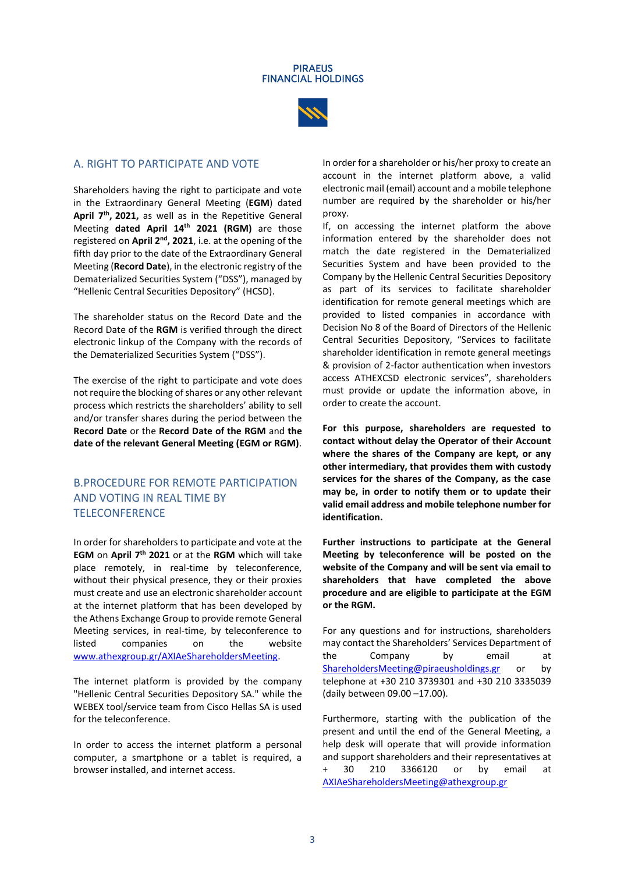

## A. RIGHT TO PARTICIPATE AND VOTE

Shareholders having the right to participate and vote in the Extraordinary General Meeting (**EGM**) dated **April 7th , 2021,** as well as in the Repetitive General Meeting **dated April 14 th 2021 (RGM)** are those registered on April 2<sup>nd</sup>, 2021, i.e. at the opening of the fifth day prior to the date of the Extraordinary General Meeting (**Record Date**), in the electronic registry of the Dematerialized Securities System ("DSS"), managed by "Hellenic Central Securities Depository" (HCSD).

The shareholder status on the Record Date and the Record Date of the **RGM** is verified through the direct electronic linkup of the Company with the records of the Dematerialized Securities System ("DSS").

The exercise of the right to participate and vote does not require the blocking of shares or any other relevant process which restricts the shareholders' ability to sell and/or transfer shares during the period between the **Record Date** or the **Record Date of the RGM** and **the date of the relevant General Meeting (EGM or RGM)**.

# B.PROCEDURE FOR REMOTE PARTICIPATION AND VOTING IN REAL TIME BY **TELECONFERENCE**

In order for shareholders to participate and vote at the **EGM** on **April 7 th 2021** or at the **RGM** which will take place remotely, in real-time by teleconference, without their physical presence, they or their proxies must create and use an electronic shareholder account at the internet platform that has been developed by the Athens Exchange Group to provide remote General Meeting services, in real-time, by teleconference to listed companies on the website [www.athexgroup.gr/AXIAeShareholdersMeeting.](http://www.athexgroup.gr/AXIAeShareholdersMeeting)

The internet platform is provided by the company "Hellenic Central Securities Depository SA." while the WEBEX tool/service team from Cisco Hellas SA is used for the teleconference.

In order to access the internet platform a personal computer, a smartphone or a tablet is required, a browser installed, and internet access.

In order for a shareholder or his/her proxy to create an account in the internet platform above, a valid electronic mail (email) account and a mobile telephone number are required by the shareholder or his/her proxy.

If, on accessing the internet platform the above information entered by the shareholder does not match the date registered in the Dematerialized Securities System and have been provided to the Company by the Hellenic Central Securities Depository as part of its services to facilitate shareholder identification for remote general meetings which are provided to listed companies in accordance with Decision No 8 of the Board of Directors of the Hellenic Central Securities Depository, "Services to facilitate shareholder identification in remote general meetings & provision of 2-factor authentication when investors access ATHEXCSD electronic services", shareholders must provide or update the information above, in order to create the account.

**For this purpose, shareholders are requested to contact without delay the Operator of their Account where the shares of the Company are kept, or any other intermediary, that provides them with custody services for the shares of the Company, as the case may be, in order to notify them or to update their valid email address and mobile telephone number for identification.**

**Further instructions to participate at the General Meeting by teleconference will be posted on the website of the Company and will be sent via email to shareholders that have completed the above procedure and are eligible to participate at the EGM or the RGM.**

For any questions and for instructions, shareholders may contact the Shareholders' Services Department of the Company by email at [ShareholdersMeeting@piraeusholdings.gr](mailto:ShareholdersMeeting@piraeusholdings.gr) or by telephone at +30 210 3739301 and +30 210 3335039 (daily between 09.00 –17.00).

Furthermore, starting with the publication of the present and until the end of the General Meeting, a help desk will operate that will provide information and support shareholders and their representatives at + 30 210 3366120 or by email at [AXIAeShareholdersMeeting@athexgroup.gr](mailto:AXIAeShareholdersMeeting@athexgroup.gr)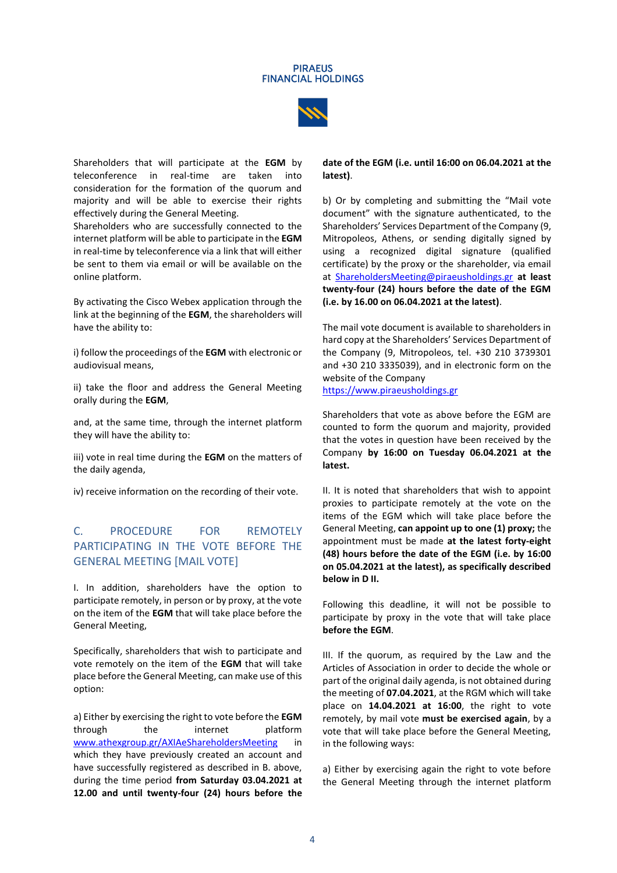

Shareholders that will participate at the **EGM** by teleconference in real-time are taken into consideration for the formation of the quorum and majority and will be able to exercise their rights effectively during the General Meeting.

Shareholders who are successfully connected to the internet platform will be able to participate in the **EGM**  in real-time by teleconference via a link that will either be sent to them via email or will be available on the online platform.

By activating the Cisco Webex application through the link at the beginning of the **EGM**, the shareholders will have the ability to:

i) follow the proceedings of the **EGM** with electronic or audiovisual means,

ii) take the floor and address the General Meeting orally during the **EGM**,

and, at the same time, through the internet platform they will have the ability to:

iii) vote in real time during the **EGM** on the matters of the daily agenda,

iv) receive information on the recording of their vote.

# C. PROCEDURE FOR REMOTELY PARTICIPATING IN THE VOTE BEFORE THE GENERAL MEETING [MAIL VOTE]

I. In addition, shareholders have the option to participate remotely, in person or by proxy, at the vote on the item of the **EGM** that will take place before the General Meeting,

Specifically, shareholders that wish to participate and vote remotely on the item of the **EGM** that will take place before the General Meeting, can make use of this option:

a) Either by exercising the right to vote before the **EGM** through the internet platform [www.athexgroup.gr/AXIAeShareholdersMeeting](http://www.athexgroup.gr/AXIAeShareholdersMeeting) in which they have previously created an account and have successfully registered as described in B. above, during the time period **from Saturday 03.04.2021 at 12.00 and until twenty-four (24) hours before the**  **date of the EGM (i.e. until 16:00 on 06.04.2021 at the latest)**.

b) Or by completing and submitting the "Mail vote document" with the signature authenticated, to the Shareholders' Services Department of the Company (9, Mitropoleos, Athens, or sending digitally signed by using a recognized digital signature (qualified certificate) by the proxy or the shareholder, via email at [ShareholdersMeeting@piraeusholdings.gr](mailto:ShareholdersMeeting@piraeusholdings.gr) **at least twenty-four (24) hours before the date of the EGM (i.e. by 16.00 on 06.04.2021 at the latest)**.

The mail vote document is available to shareholders in hard copy at the Shareholders' Services Department of the Company (9, Mitropoleos, tel. +30 210 3739301 and +30 210 3335039), and in electronic form on the website of the Company

[https://www.piraeusholdings.gr](https://www.piraeusholdings.gr/)

Shareholders that vote as above before the EGM are counted to form the quorum and majority, provided that the votes in question have been received by the Company **by 16:00 on Tuesday 06.04.2021 at the latest.**

II. It is noted that shareholders that wish to appoint proxies to participate remotely at the vote on the items of the EGM which will take place before the General Meeting, **can appoint up to one (1) proxy;** the appointment must be made **at the latest forty-eight (48) hours before the date of the EGM (i.e. by 16:00 on 05.04.2021 at the latest), as specifically described below in D II.**

Following this deadline, it will not be possible to participate by proxy in the vote that will take place **before the EGM**.

III. If the quorum, as required by the Law and the Articles of Association in order to decide the whole or part of the original daily agenda, is not obtained during the meeting of **07.04.2021**, at the RGM which will take place on **14.04.2021 at 16:00**, the right to vote remotely, by mail vote **must be exercised again**, by a vote that will take place before the General Meeting, in the following ways:

a) Either by exercising again the right to vote before the General Meeting through the internet platform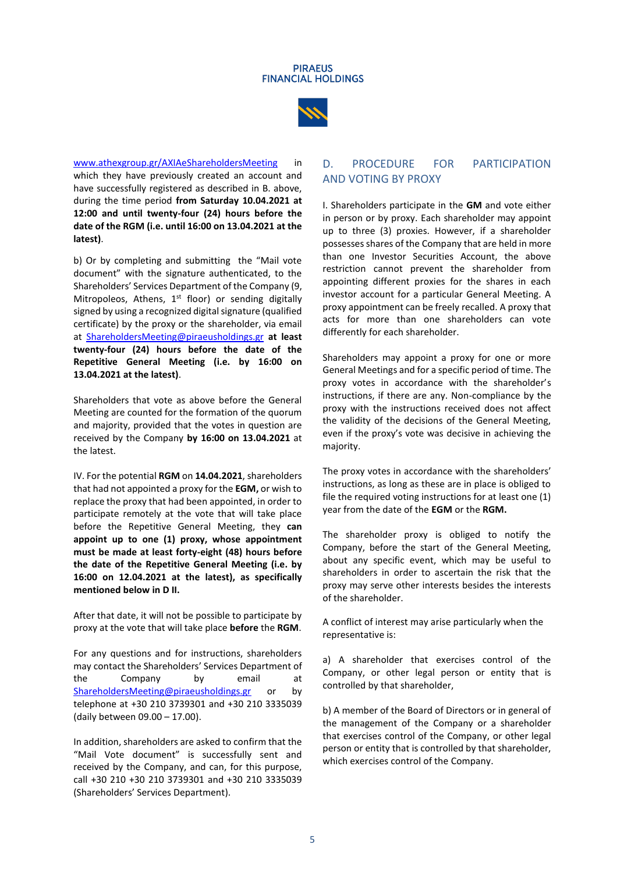



[www.athexgroup.gr/AXIAeShareholdersMeeting](http://www.athexgroup.gr/AXIAeShareholdersMeeting) in which they have previously created an account and have successfully registered as described in B. above, during the time period **from Saturday 10.04.2021 at 12:00 and until twenty-four (24) hours before the date of the RGM (i.e. until 16:00 on 13.04.2021 at the latest)**.

b) Or by completing and submitting the "Mail vote document" with the signature authenticated, to the Shareholders' Services Department of the Company (9, Mitropoleos, Athens,  $1<sup>st</sup>$  floor) or sending digitally signed by using a recognized digital signature (qualified certificate) by the proxy or the shareholder, via email at [ShareholdersMeeting@piraeusholdings.gr](mailto:ShareholdersMeeting@piraeusholdings.gr) **at least twenty-four (24) hours before the date of the Repetitive General Meeting (i.e. by 16:00 on 13.04.2021 at the latest)**.

Shareholders that vote as above before the General Meeting are counted for the formation of the quorum and majority, provided that the votes in question are received by the Company **by 16:00 on 13.04.2021** at the latest.

IV. For the potential **RGM** on **14.04.2021**, shareholders that had not appointed a proxy for the **EGM,** or wish to replace the proxy that had been appointed, in order to participate remotely at the vote that will take place before the Repetitive General Meeting, they **can appoint up to one (1) proxy, whose appointment must be made at least forty-eight (48) hours before the date of the Repetitive General Meeting (i.e. by 16:00 on 12.04.2021 at the latest), as specifically mentioned below in D II.** 

After that date, it will not be possible to participate by proxy at the vote that will take place **before** the **RGM**.

For any questions and for instructions, shareholders may contact the Shareholders' Services Department of the Company by email at [ShareholdersMeeting@piraeusholdings.gr](mailto:ShareholdersMeeting@piraeusholdings.gr) or by telephone at +30 210 3739301 and +30 210 3335039 (daily between 09.00 – 17.00).

In addition, shareholders are asked to confirm that the "Mail Vote document" is successfully sent and received by the Company, and can, for this purpose, call +30 210 +30 210 3739301 and +30 210 3335039 (Shareholders' Services Department).

# D. PROCEDURE FOR PARTICIPATION AND VOTING BY PROXY

I. Shareholders participate in the **GM** and vote either in person or by proxy. Each shareholder may appoint up to three (3) proxies. However, if a shareholder possesses shares of the Company that are held in more than one Investor Securities Account, the above restriction cannot prevent the shareholder from appointing different proxies for the shares in each investor account for a particular General Meeting. A proxy appointment can be freely recalled. A proxy that acts for more than one shareholders can vote differently for each shareholder.

Shareholders may appoint a proxy for one or more General Meetings and for a specific period of time. The proxy votes in accordance with the shareholder's instructions, if there are any. Non-compliance by the proxy with the instructions received does not affect the validity of the decisions of the General Meeting, even if the proxy's vote was decisive in achieving the majority.

The proxy votes in accordance with the shareholders' instructions, as long as these are in place is obliged to file the required voting instructions for at least one (1) year from the date of the **EGM** or the **RGM.**

The shareholder proxy is obliged to notify the Company, before the start of the General Meeting, about any specific event, which may be useful to shareholders in order to ascertain the risk that the proxy may serve other interests besides the interests of the shareholder.

A conflict of interest may arise particularly when the representative is:

a) A shareholder that exercises control of the Company, or other legal person or entity that is controlled by that shareholder,

b) A member of the Board of Directors or in general of the management of the Company or a shareholder that exercises control of the Company, or other legal person or entity that is controlled by that shareholder, which exercises control of the Company.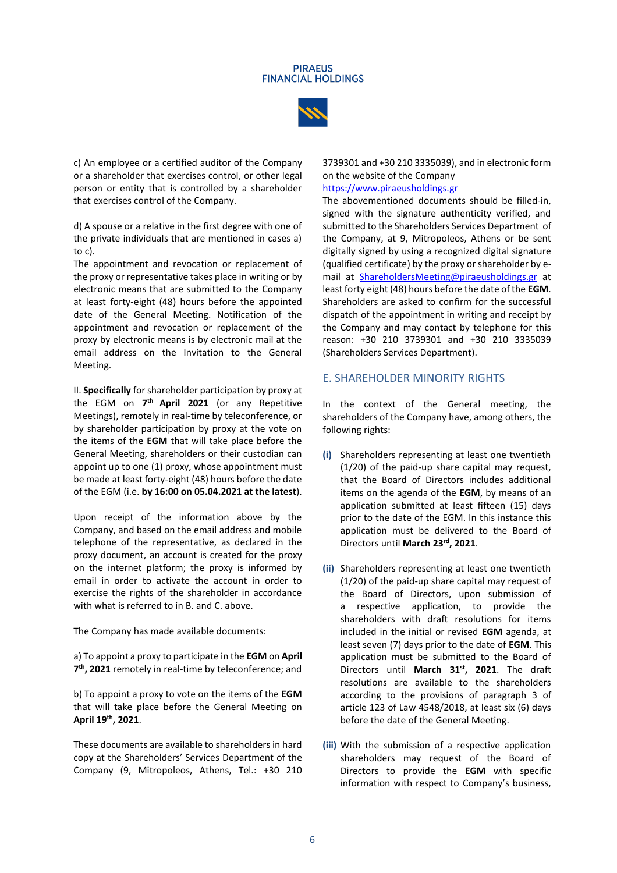#### **PIRAFIIS FINANCIAL HOLDINGS**



c) An employee or a certified auditor of the Company or a shareholder that exercises control, or other legal person or entity that is controlled by a shareholder that exercises control of the Company.

d) A spouse or a relative in the first degree with one of the private individuals that are mentioned in cases a) to c).

The appointment and revocation or replacement of the proxy or representative takes place in writing or by electronic means that are submitted to the Company at least forty-eight (48) hours before the appointed date of the General Meeting. Notification of the appointment and revocation or replacement of the proxy by electronic means is by electronic mail at the email address on the Invitation to the General Meeting.

II. **Specifically** for shareholder participation by proxy at the EGM on **7 th April 2021** (or any Repetitive Meetings), remotely in real-time by teleconference, or by shareholder participation by proxy at the vote on the items of the **EGM** that will take place before the General Meeting, shareholders or their custodian can appoint up to one (1) proxy, whose appointment must be made at least forty-eight (48) hours before the date of the EGM (i.e. **by 16:00 on 05.04.2021 at the latest**).

Upon receipt of the information above by the Company, and based on the email address and mobile telephone of the representative, as declared in the proxy document, an account is created for the proxy on the internet platform; the proxy is informed by email in order to activate the account in order to exercise the rights of the shareholder in accordance with what is referred to in B. and C. above.

The Company has made available documents:

a) To appoint a proxy to participate in the **EGM** on **April 7 th , 2021** remotely in real-time by teleconference; and

b) To appoint a proxy to vote on the items of the **EGM** that will take place before the General Meeting on **April 19th, 2021**.

These documents are available to shareholders in hard copy at the Shareholders' Services Department of the Company (9, Mitropoleos, Athens, Tel.: +30 210 3739301 and +30 210 3335039), and in electronic form on the website of the Company

## [https://www.piraeusholdings.g](https://www.piraeusholdings./)r

The abovementioned documents should be filled-in, signed with the signature authenticity verified, and submitted to the Shareholders Services Department of the Company, at 9, Mitropoleos, Athens or be sent digitally signed by using a recognized digital signature (qualified certificate) by the proxy or shareholder by email at [ShareholdersMeeting@piraeusholdings.gr](mailto:ShareholdersMeeting@piraeusholdings.gr) at least forty eight (48) hours before the date of the **EGM**. Shareholders are asked to confirm for the successful dispatch of the appointment in writing and receipt by the Company and may contact by telephone for this reason: +30 210 3739301 and +30 210 3335039 (Shareholders Services Department).

### E. SHAREHOLDER MINORITY RIGHTS

In the context of the General meeting, the shareholders of the Company have, among others, the following rights:

- **(i)** Shareholders representing at least one twentieth (1/20) of the paid-up share capital may request, that the Board of Directors includes additional items on the agenda of the **ΕGM**, by means of an application submitted at least fifteen (15) days prior to the date of the EGM. In this instance this application must be delivered to the Board of Directors until March 23<sup>rd</sup>, 2021.
- **(ii)** Shareholders representing at least one twentieth (1/20) of the paid-up share capital may request of the Board of Directors, upon submission of a respective application, to provide the shareholders with draft resolutions for items included in the initial or revised **ΕGM** agenda, at least seven (7) days prior to the date of **EGM**. This application must be submitted to the Board of Directors until **March 31 st, 2021**. The draft resolutions are available to the shareholders according to the provisions of paragraph 3 of article 123 of Law 4548/2018, at least six (6) days before the date of the General Meeting.
- **(iii)** With the submission of a respective application shareholders may request of the Board of Directors to provide the **ΕGM** with specific information with respect to Company's business,